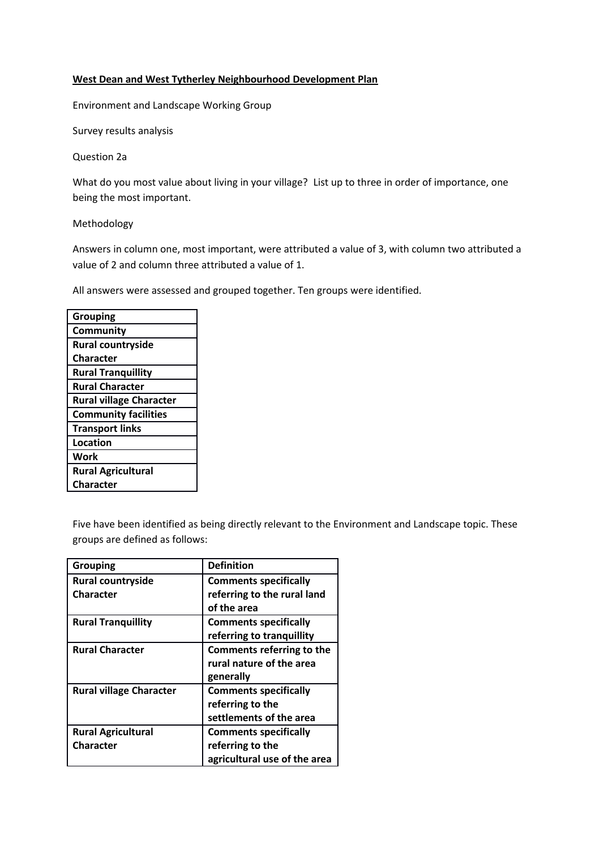### **West Dean and West Tytherley Neighbourhood Development Plan**

Environment and Landscape Working Group

Survey results analysis

Question 2a

What do you most value about living in your village? List up to three in order of importance, one being the most important.

Methodology

Answers in column one, most important, were attributed a value of 3, with column two attributed a value of 2 and column three attributed a value of 1.

All answers were assessed and grouped together. Ten groups were identified.

| <b>Grouping</b>                |
|--------------------------------|
| Community                      |
| <b>Rural countryside</b>       |
| <b>Character</b>               |
| <b>Rural Tranquillity</b>      |
| <b>Rural Character</b>         |
| <b>Rural village Character</b> |
| <b>Community facilities</b>    |
| <b>Transport links</b>         |
| Location                       |
| Work                           |
| <b>Rural Agricultural</b>      |
| Character                      |

Five have been identified as being directly relevant to the Environment and Landscape topic. These groups are defined as follows:

| <b>Grouping</b>                | <b>Definition</b>            |
|--------------------------------|------------------------------|
| <b>Rural countryside</b>       | <b>Comments specifically</b> |
| <b>Character</b>               | referring to the rural land  |
|                                | of the area                  |
| <b>Rural Tranquillity</b>      | <b>Comments specifically</b> |
|                                | referring to tranquillity    |
| <b>Rural Character</b>         | Comments referring to the    |
|                                | rural nature of the area     |
|                                | generally                    |
| <b>Rural village Character</b> | <b>Comments specifically</b> |
|                                | referring to the             |
|                                | settlements of the area      |
| <b>Rural Agricultural</b>      | <b>Comments specifically</b> |
| <b>Character</b>               | referring to the             |
|                                | agricultural use of the area |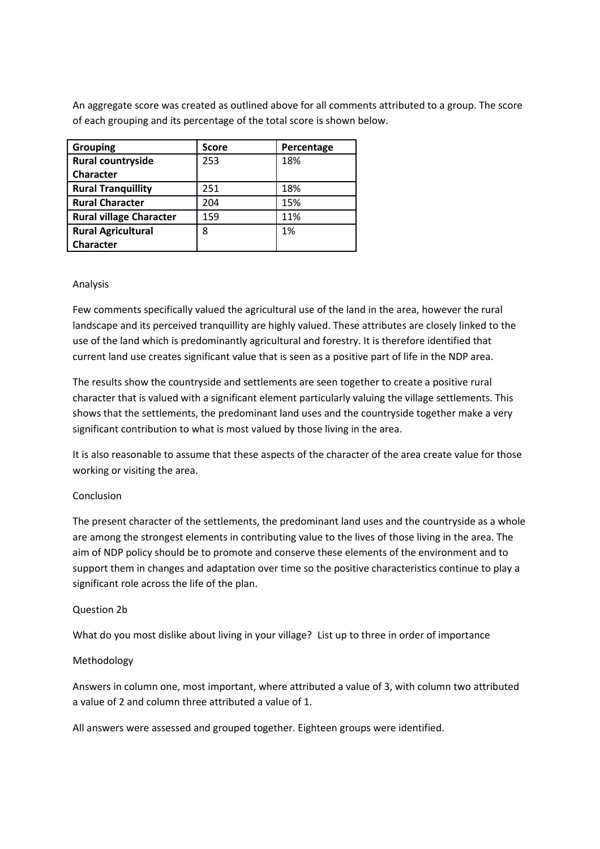An aggregate score was created as outlined above for all comments attributed to a group. The score of each grouping and its percentage of the total score is shown below.

| <b>Grouping</b>                | <b>Score</b> | Percentage |
|--------------------------------|--------------|------------|
| Rural countryside              | 253          | 18%        |
| <b>Character</b>               |              |            |
| <b>Rural Tranquillity</b>      | 251          | 18%        |
| <b>Rural Character</b>         | 204          | 15%        |
| <b>Rural village Character</b> | 159          | 11%        |
| <b>Rural Agricultural</b>      | 8            | 1%         |
| <b>Character</b>               |              |            |

## Analysis

Few comments specifically valued the agricultural use of the land in the area, however the rural landscape and its perceived tranquillity are highly valued. These attributes are closely linked to the use of the land which is predominantly agricultural and forestry. It is therefore identified that current land use creates significant value that is seen as a positive part of life in the NDP area.

The results show the countryside and settlements are seen together to create a positive rural character that is valued with a significant element particularly valuing the village settlements. This shows that the settlements, the predominant land uses and the countryside together make a very significant contribution to what is most valued by those living in the area.

It is also reasonable to assume that these aspects of the character of the area create value for those working or visiting the area.

#### Conclusion

The present character of the settlements, the predominant land uses and the countryside as a whole are among the strongest elements in contributing value to the lives of those living in the area. The aim of NDP policy should be to promote and conserve these elements of the environment and to support them in changes and adaptation over time so the positive characteristics continue to play a significant role across the life of the plan.

#### Question 2b

What do you most dislike about living in your village? List up to three in order of importance

#### Methodology

Answers in column one, most important, where attributed a value of 3, with column two attributed a value of 2 and column three attributed a value of 1.

All answers were assessed and grouped together. Eighteen groups were identified.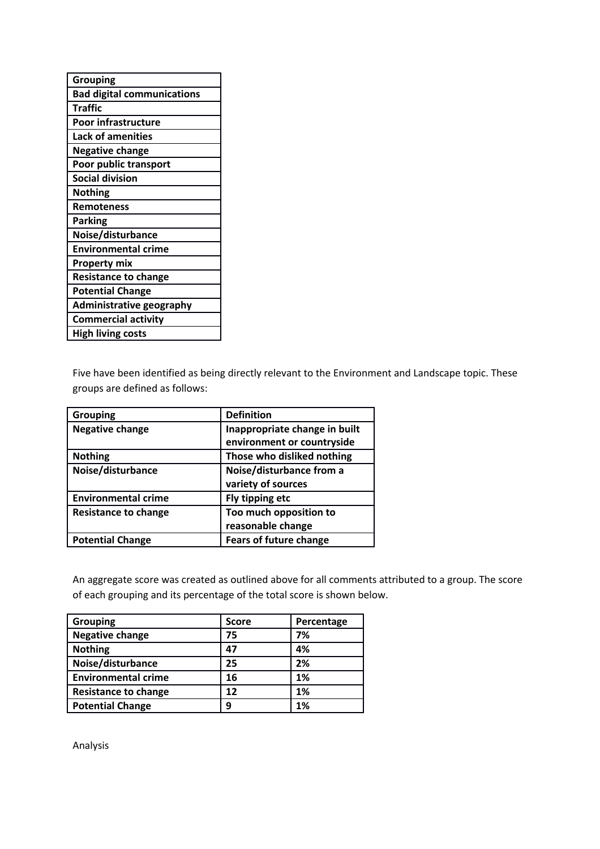| <b>Grouping</b>                   |
|-----------------------------------|
| <b>Bad digital communications</b> |
| <b>Traffic</b>                    |
| <b>Poor infrastructure</b>        |
| <b>Lack of amenities</b>          |
| <b>Negative change</b>            |
| Poor public transport             |
| <b>Social division</b>            |
| <b>Nothing</b>                    |
| Remoteness                        |
| Parking                           |
| Noise/disturbance                 |
| <b>Environmental crime</b>        |
| <b>Property mix</b>               |
| <b>Resistance to change</b>       |
| <b>Potential Change</b>           |
| <b>Administrative geography</b>   |
| <b>Commercial activity</b>        |
| <b>High living costs</b>          |

Five have been identified as being directly relevant to the Environment and Landscape topic. These groups are defined as follows:

| <b>Grouping</b>             | <b>Definition</b>             |
|-----------------------------|-------------------------------|
| <b>Negative change</b>      | Inappropriate change in built |
|                             | environment or countryside    |
| <b>Nothing</b>              | Those who disliked nothing    |
| Noise/disturbance           | Noise/disturbance from a      |
|                             | variety of sources            |
| <b>Environmental crime</b>  | Fly tipping etc               |
| <b>Resistance to change</b> | Too much opposition to        |
|                             | reasonable change             |
| <b>Potential Change</b>     | <b>Fears of future change</b> |

An aggregate score was created as outlined above for all comments attributed to a group. The score of each grouping and its percentage of the total score is shown below.

| <b>Grouping</b>             | <b>Score</b> | Percentage |
|-----------------------------|--------------|------------|
| <b>Negative change</b>      | 75           | 7%         |
| <b>Nothing</b>              | 47           | 4%         |
| Noise/disturbance           | 25           | 2%         |
| <b>Environmental crime</b>  | 16           | 1%         |
| <b>Resistance to change</b> | 12           | 1%         |
| <b>Potential Change</b>     | 9            | 1%         |

Analysis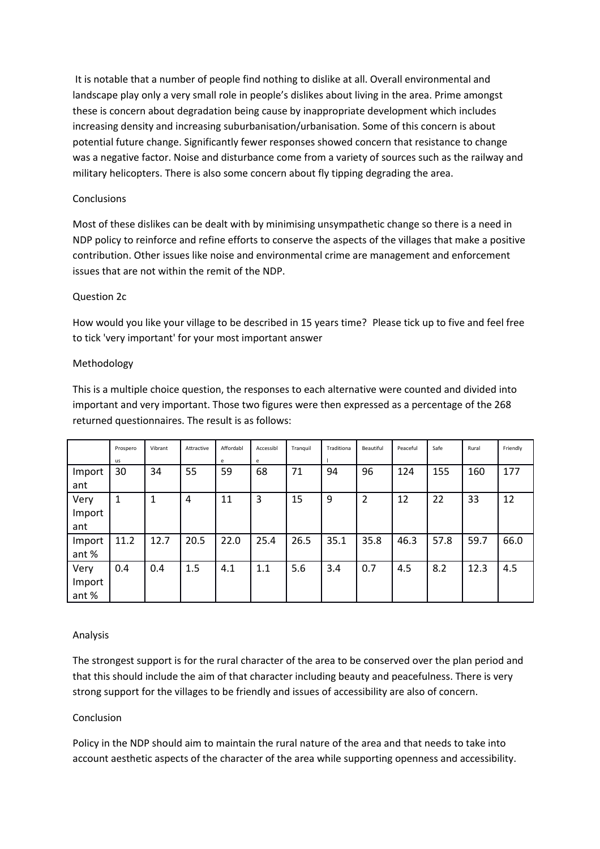It is notable that a number of people find nothing to dislike at all. Overall environmental and landscape play only a very small role in people's dislikes about living in the area. Prime amongst these is concern about degradation being cause by inappropriate development which includes increasing density and increasing suburbanisation/urbanisation. Some of this concern is about potential future change. Significantly fewer responses showed concern that resistance to change was a negative factor. Noise and disturbance come from a variety of sources such as the railway and military helicopters. There is also some concern about fly tipping degrading the area.

### **Conclusions**

Most of these dislikes can be dealt with by minimising unsympathetic change so there is a need in NDP policy to reinforce and refine efforts to conserve the aspects of the villages that make a positive contribution. Other issues like noise and environmental crime are management and enforcement issues that are not within the remit of the NDP.

## Question 2c

How would you like your village to be described in 15 years time? Please tick up to five and feel free to tick 'very important' for your most important answer

## Methodology

This is a multiple choice question, the responses to each alternative were counted and divided into important and very important. Those two figures were then expressed as a percentage of the 268 returned questionnaires. The result is as follows:

|                        | Prospero<br>us | Vibrant | Attractive | Affordabl<br>e | Accessibl<br>e | Tranguil | Traditiona | Beautiful      | Peaceful | Safe | Rural | Friendly |
|------------------------|----------------|---------|------------|----------------|----------------|----------|------------|----------------|----------|------|-------|----------|
| Import<br>ant          | 30             | 34      | 55         | 59             | 68             | 71       | 94         | 96             | 124      | 155  | 160   | 177      |
| Very<br>Import<br>ant  | 1              | 1       | 4          | 11             | 3              | 15       | 9          | $\overline{2}$ | 12       | 22   | 33    | 12       |
| Import<br>ant%         | 11.2           | 12.7    | 20.5       | 22.0           | 25.4           | 26.5     | 35.1       | 35.8           | 46.3     | 57.8 | 59.7  | 66.0     |
| Very<br>Import<br>ant% | 0.4            | 0.4     | 1.5        | 4.1            | 1.1            | 5.6      | 3.4        | 0.7            | 4.5      | 8.2  | 12.3  | 4.5      |

# Analysis

The strongest support is for the rural character of the area to be conserved over the plan period and that this should include the aim of that character including beauty and peacefulness. There is very strong support for the villages to be friendly and issues of accessibility are also of concern.

# Conclusion

Policy in the NDP should aim to maintain the rural nature of the area and that needs to take into account aesthetic aspects of the character of the area while supporting openness and accessibility.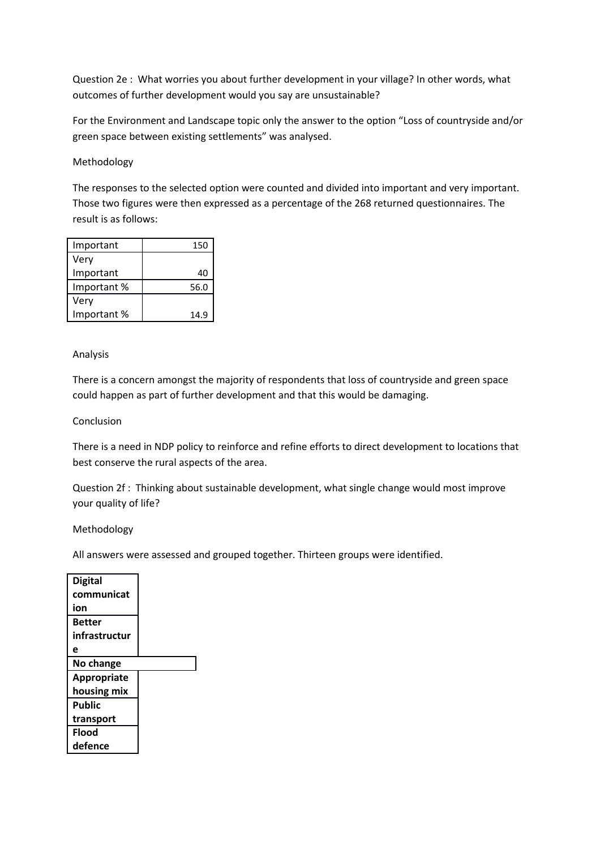Question 2e : What worries you about further development in your village? In other words, what outcomes of further development would you say are unsustainable?

For the Environment and Landscape topic only the answer to the option "Loss of countryside and/or green space between existing settlements" was analysed.

### Methodology

The responses to the selected option were counted and divided into important and very important. Those two figures were then expressed as a percentage of the 268 returned questionnaires. The result is as follows:

| Important  | 150  |
|------------|------|
| Very       |      |
| Important  | 40   |
| Important% | 56.0 |
| Very       |      |
| Important% | 14.9 |

#### Analysis

There is a concern amongst the majority of respondents that loss of countryside and green space could happen as part of further development and that this would be damaging.

## Conclusion

There is a need in NDP policy to reinforce and refine efforts to direct development to locations that best conserve the rural aspects of the area.

Question 2f : Thinking about sustainable development, what single change would most improve your quality of life?

#### Methodology

All answers were assessed and grouped together. Thirteen groups were identified.

| Digital            |  |
|--------------------|--|
| communicat         |  |
| ion                |  |
| Better             |  |
| infrastructur      |  |
| е                  |  |
| No change          |  |
| <b>Appropriate</b> |  |
| housing mix        |  |
| Public             |  |
| transport          |  |
| <b>Flood</b>       |  |
| defence            |  |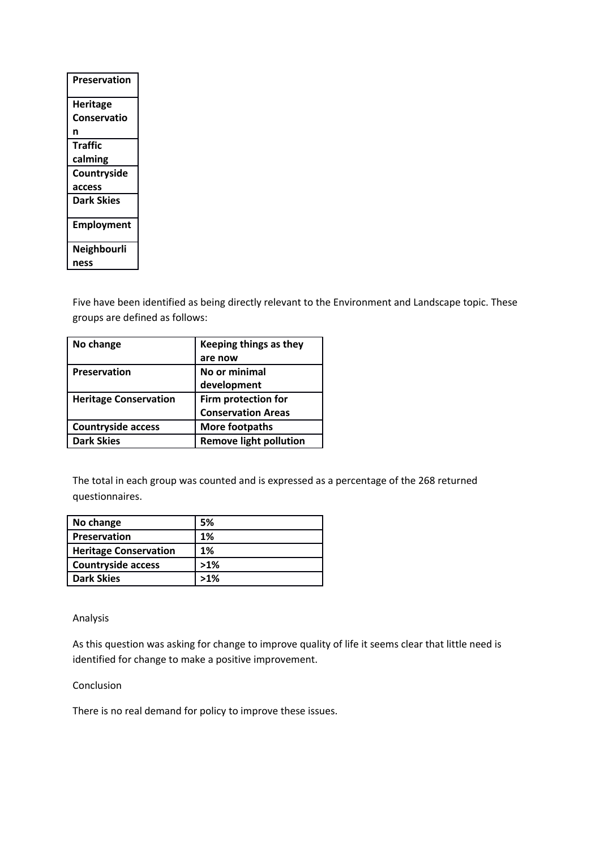| Heritage           |
|--------------------|
| <b>Conservatio</b> |
| n                  |
| Traffic            |
| calming            |
| Countryside        |
| access             |
| <b>Dark Skies</b>  |
| <b>Employment</b>  |
| Neighbourli        |
| ness               |

Five have been identified as being directly relevant to the Environment and Landscape topic. These groups are defined as follows:

| No change                    | Keeping things as they        |
|------------------------------|-------------------------------|
|                              | are now                       |
| <b>Preservation</b>          | No or minimal                 |
|                              | development                   |
| <b>Heritage Conservation</b> | Firm protection for           |
|                              | <b>Conservation Areas</b>     |
| <b>Countryside access</b>    | More footpaths                |
| <b>Dark Skies</b>            | <b>Remove light pollution</b> |

The total in each group was counted and is expressed as a percentage of the 268 returned questionnaires.

| No change                    | 5%     |
|------------------------------|--------|
| Preservation                 | 1%     |
| <b>Heritage Conservation</b> | 1%     |
| <b>Countryside access</b>    | $>1\%$ |
| <b>Dark Skies</b>            | $>1\%$ |

Analysis

As this question was asking for change to improve quality of life it seems clear that little need is identified for change to make a positive improvement.

### Conclusion

There is no real demand for policy to improve these issues.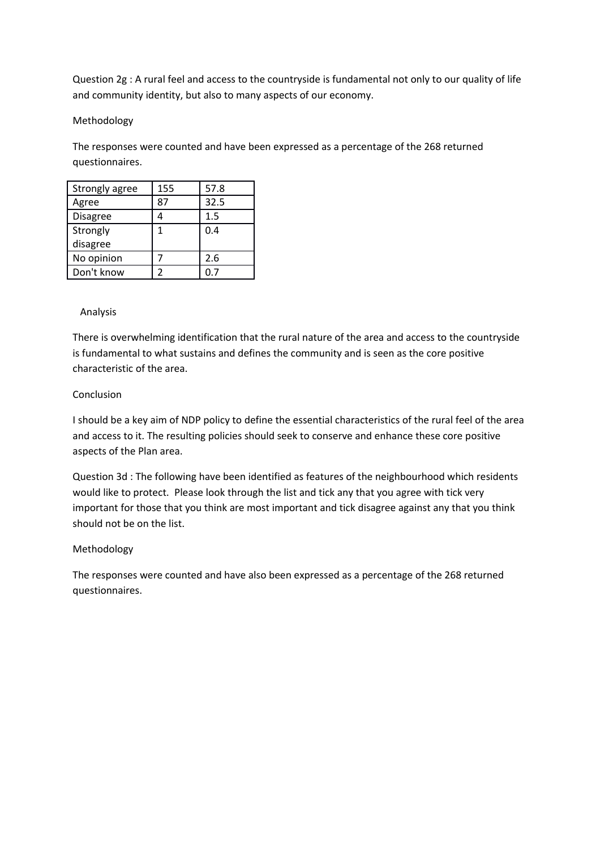Question 2g : A rural feel and access to the countryside is fundamental not only to our quality of life and community identity, but also to many aspects of our economy.

# Methodology

The responses were counted and have been expressed as a percentage of the 268 returned questionnaires.

| Strongly agree  | 155 | 57.8 |
|-----------------|-----|------|
| Agree           | 87  | 32.5 |
| <b>Disagree</b> |     | 1.5  |
| Strongly        | 1   | 0.4  |
| disagree        |     |      |
| No opinion      |     | 2.6  |
| Don't know      |     | ი 7  |

## Analysis

There is overwhelming identification that the rural nature of the area and access to the countryside is fundamental to what sustains and defines the community and is seen as the core positive characteristic of the area.

## Conclusion

I should be a key aim of NDP policy to define the essential characteristics of the rural feel of the area and access to it. The resulting policies should seek to conserve and enhance these core positive aspects of the Plan area.

Question 3d : The following have been identified as features of the neighbourhood which residents would like to protect. Please look through the list and tick any that you agree with tick very important for those that you think are most important and tick disagree against any that you think should not be on the list.

# Methodology

The responses were counted and have also been expressed as a percentage of the 268 returned questionnaires.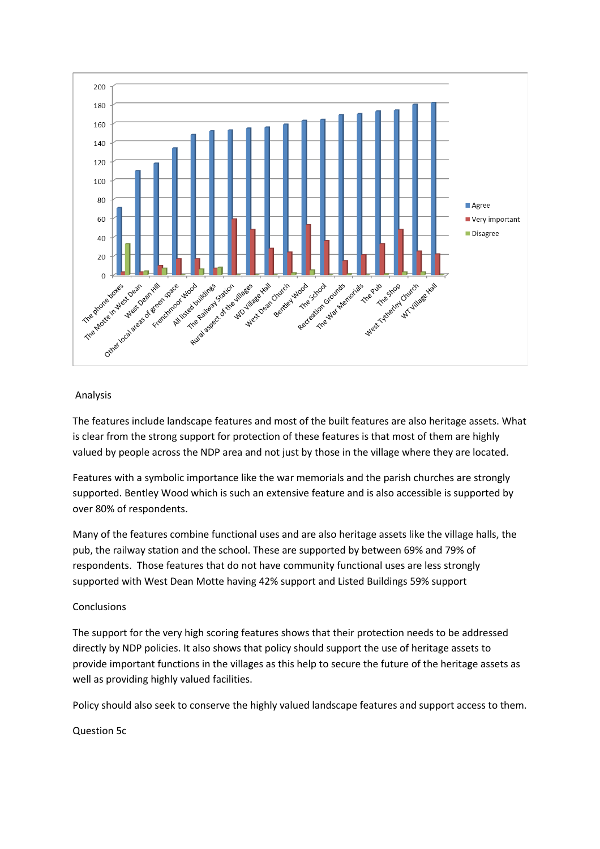

## Analysis

The features include landscape features and most of the built features are also heritage assets. What is clear from the strong support for protection of these features is that most of them are highly valued by people across the NDP area and not just by those in the village where they are located.

Features with a symbolic importance like the war memorials and the parish churches are strongly supported. Bentley Wood which is such an extensive feature and is also accessible is supported by over 80% of respondents.

Many of the features combine functional uses and are also heritage assets like the village halls, the pub, the railway station and the school. These are supported by between 69% and 79% of respondents. Those features that do not have community functional uses are less strongly supported with West Dean Motte having 42% support and Listed Buildings 59% support

# **Conclusions**

The support for the very high scoring features shows that their protection needs to be addressed directly by NDP policies. It also shows that policy should support the use of heritage assets to provide important functions in the villages as this help to secure the future of the heritage assets as well as providing highly valued facilities.

Policy should also seek to conserve the highly valued landscape features and support access to them.

Question 5c